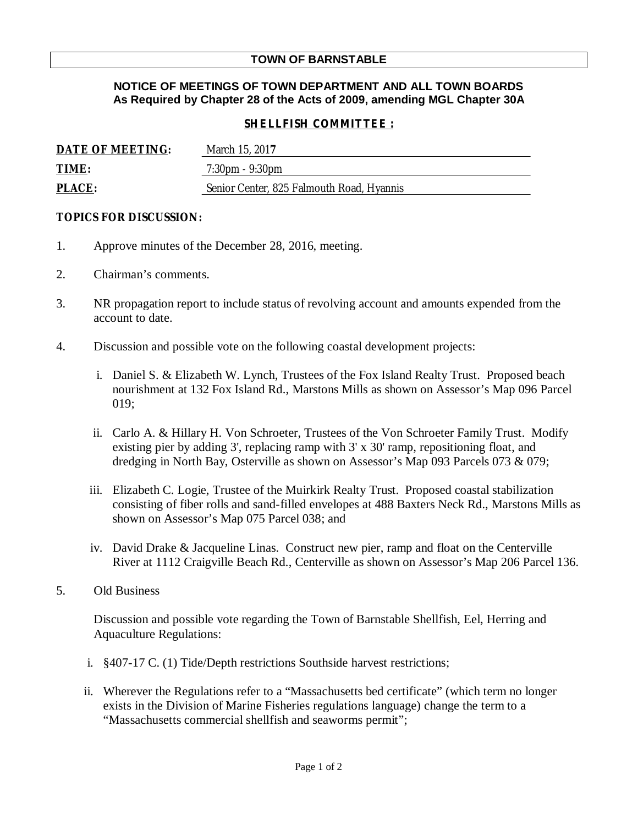## **TOWN OF BARNSTABLE**

## **NOTICE OF MEETINGS OF TOWN DEPARTMENT AND ALL TOWN BOARDS As Required by Chapter 28 of the Acts of 2009, amending MGL Chapter 30A**

## *SHELLFISH COMMITTEE :*

| DATE OF MEETING: | March 15, 2017                            |
|------------------|-------------------------------------------|
| TIME:            | $7:30 \text{pm} - 9:30 \text{pm}$         |
| <b>PLACE:</b>    | Senior Center, 825 Falmouth Road, Hyannis |

## **TOPICS FOR DISCUSSION:**

- 1. Approve minutes of the December 28, 2016, meeting.
- 2. Chairman's comments.
- 3. NR propagation report to include status of revolving account and amounts expended from the account to date.
- 4. Discussion and possible vote on the following coastal development projects:
	- i. Daniel S. & Elizabeth W. Lynch, Trustees of the Fox Island Realty Trust. Proposed beach nourishment at 132 Fox Island Rd., Marstons Mills as shown on Assessor's Map 096 Parcel 019;
	- ii. Carlo A. & Hillary H. Von Schroeter, Trustees of the Von Schroeter Family Trust. Modify existing pier by adding 3', replacing ramp with 3' x 30' ramp, repositioning float, and dredging in North Bay, Osterville as shown on Assessor's Map 093 Parcels 073 & 079;
	- iii. Elizabeth C. Logie, Trustee of the Muirkirk Realty Trust. Proposed coastal stabilization consisting of fiber rolls and sand-filled envelopes at 488 Baxters Neck Rd., Marstons Mills as shown on Assessor's Map 075 Parcel 038; and
	- iv. David Drake & Jacqueline Linas. Construct new pier, ramp and float on the Centerville River at 1112 Craigville Beach Rd., Centerville as shown on Assessor's Map 206 Parcel 136.
- 5. Old Business

Discussion and possible vote regarding the Town of Barnstable Shellfish, Eel, Herring and Aquaculture Regulations:

- i. §407-17 C. (1) Tide/Depth restrictions Southside harvest restrictions;
- ii. Wherever the Regulations refer to a "Massachusetts bed certificate" (which term no longer exists in the Division of Marine Fisheries regulations language) change the term to a "Massachusetts commercial shellfish and seaworms permit";